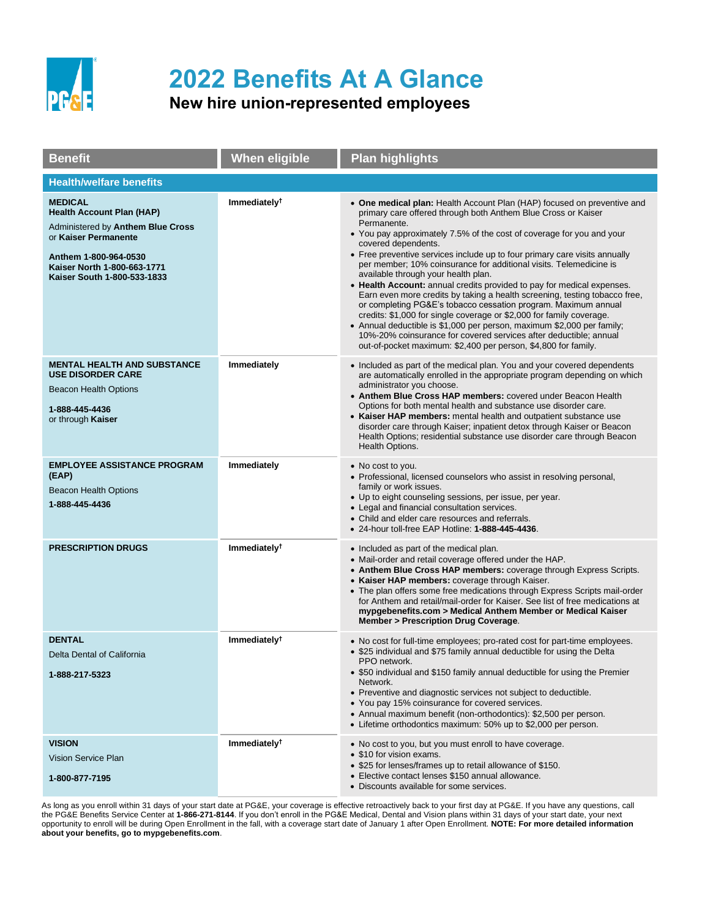

## **2022 Benefits At A Glance**

## **New hire union-represented employees**

| <b>Benefit</b>                                                                                                                                                                                         | <b>When eligible</b>     | <b>Plan highlights</b>                                                                                                                                                                                                                                                                                                                                                                                                                                                                                                                                                                                                                                                                                                                                                                                                                                                                                                                                                |
|--------------------------------------------------------------------------------------------------------------------------------------------------------------------------------------------------------|--------------------------|-----------------------------------------------------------------------------------------------------------------------------------------------------------------------------------------------------------------------------------------------------------------------------------------------------------------------------------------------------------------------------------------------------------------------------------------------------------------------------------------------------------------------------------------------------------------------------------------------------------------------------------------------------------------------------------------------------------------------------------------------------------------------------------------------------------------------------------------------------------------------------------------------------------------------------------------------------------------------|
| <b>Health/welfare benefits</b>                                                                                                                                                                         |                          |                                                                                                                                                                                                                                                                                                                                                                                                                                                                                                                                                                                                                                                                                                                                                                                                                                                                                                                                                                       |
| <b>MEDICAL</b><br><b>Health Account Plan (HAP)</b><br>Administered by Anthem Blue Cross<br>or Kaiser Permanente<br>Anthem 1-800-964-0530<br>Kaiser North 1-800-663-1771<br>Kaiser South 1-800-533-1833 | Immediately <sup>†</sup> | • One medical plan: Health Account Plan (HAP) focused on preventive and<br>primary care offered through both Anthem Blue Cross or Kaiser<br>Permanente.<br>• You pay approximately 7.5% of the cost of coverage for you and your<br>covered dependents.<br>• Free preventive services include up to four primary care visits annually<br>per member; 10% coinsurance for additional visits. Telemedicine is<br>available through your health plan.<br>• Health Account: annual credits provided to pay for medical expenses.<br>Earn even more credits by taking a health screening, testing tobacco free,<br>or completing PG&E's tobacco cessation program. Maximum annual<br>credits: \$1,000 for single coverage or \$2,000 for family coverage.<br>• Annual deductible is \$1,000 per person, maximum \$2,000 per family;<br>10%-20% coinsurance for covered services after deductible; annual<br>out-of-pocket maximum: \$2,400 per person, \$4,800 for family. |
| <b>MENTAL HEALTH AND SUBSTANCE</b><br><b>USE DISORDER CARE</b><br><b>Beacon Health Options</b><br>1-888-445-4436<br>or through Kaiser                                                                  | Immediately              | • Included as part of the medical plan. You and your covered dependents<br>are automatically enrolled in the appropriate program depending on which<br>administrator you choose.<br>• Anthem Blue Cross HAP members: covered under Beacon Health<br>Options for both mental health and substance use disorder care.<br>• Kaiser HAP members: mental health and outpatient substance use<br>disorder care through Kaiser; inpatient detox through Kaiser or Beacon<br>Health Options; residential substance use disorder care through Beacon<br>Health Options.                                                                                                                                                                                                                                                                                                                                                                                                        |
| <b>EMPLOYEE ASSISTANCE PROGRAM</b><br>(EAP)<br><b>Beacon Health Options</b><br>1-888-445-4436                                                                                                          | Immediately              | • No cost to you.<br>• Professional, licensed counselors who assist in resolving personal,<br>family or work issues.<br>• Up to eight counseling sessions, per issue, per year.<br>• Legal and financial consultation services.<br>• Child and elder care resources and referrals.<br>• 24-hour toll-free EAP Hotline: 1-888-445-4436.                                                                                                                                                                                                                                                                                                                                                                                                                                                                                                                                                                                                                                |
| <b>PRESCRIPTION DRUGS</b>                                                                                                                                                                              | Immediately <sup>†</sup> | • Included as part of the medical plan.<br>• Mail-order and retail coverage offered under the HAP.<br>• Anthem Blue Cross HAP members: coverage through Express Scripts.<br>• Kaiser HAP members: coverage through Kaiser.<br>• The plan offers some free medications through Express Scripts mail-order<br>for Anthem and retail/mail-order for Kaiser. See list of free medications at<br>mypgebenefits.com > Medical Anthem Member or Medical Kaiser<br><b>Member &gt; Prescription Drug Coverage.</b>                                                                                                                                                                                                                                                                                                                                                                                                                                                             |
| <b>DENTAL</b><br>Delta Dental of California<br>1-888-217-5323                                                                                                                                          | Immediately <sup>†</sup> | • No cost for full-time employees; pro-rated cost for part-time employees.<br>• \$25 individual and \$75 family annual deductible for using the Delta<br>PPO network.<br>• \$50 individual and \$150 family annual deductible for using the Premier<br>Network.<br>• Preventive and diagnostic services not subject to deductible.<br>• You pay 15% coinsurance for covered services.<br>• Annual maximum benefit (non-orthodontics): \$2,500 per person.<br>• Lifetime orthodontics maximum: 50% up to \$2,000 per person.                                                                                                                                                                                                                                                                                                                                                                                                                                           |
| <b>VISION</b><br>Vision Service Plan<br>1-800-877-7195                                                                                                                                                 | Immediately <sup>†</sup> | • No cost to you, but you must enroll to have coverage.<br>• \$10 for vision exams.<br>• \$25 for lenses/frames up to retail allowance of \$150.<br>• Elective contact lenses \$150 annual allowance.<br>• Discounts available for some services.                                                                                                                                                                                                                                                                                                                                                                                                                                                                                                                                                                                                                                                                                                                     |

As long as you enroll within 31 days of your start date at PG&E, your coverage is effective retroactively back to your first day at PG&E. If you have any questions, call the PG&E Benefits Service Center at **1-866-271-8144**. If you don't enroll in the PG&E Medical, Dental and Vision plans within 31 days of your start date, your next opportunity to enroll will be during Open Enrollment in the fall, with a coverage start date of January 1 after Open Enrollment. **NOTE: For more detailed information about your benefits, go to mypgebenefits.com**.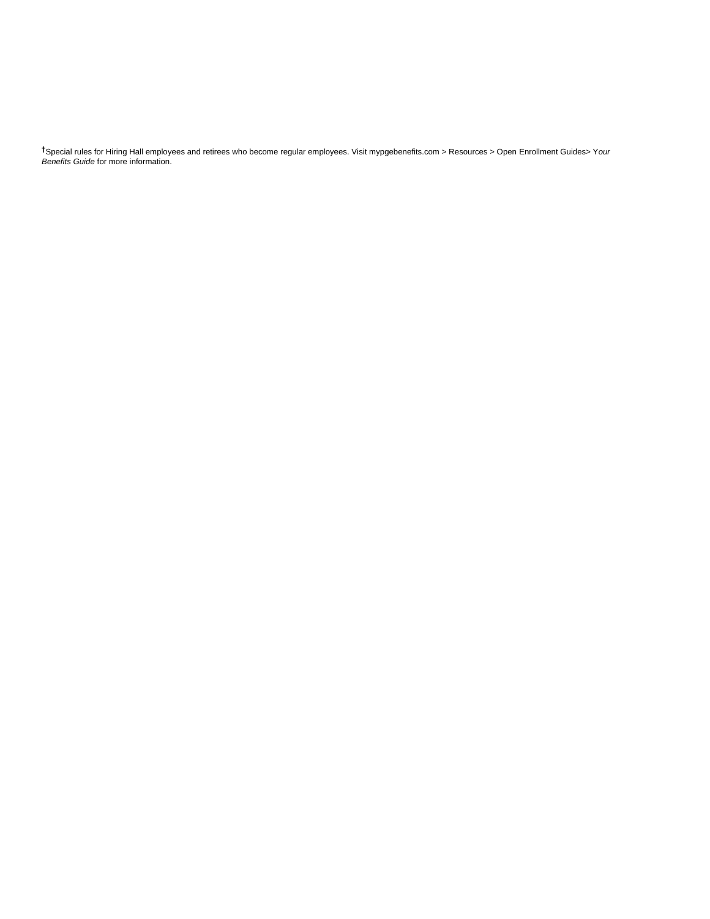**†**Special rules for Hiring Hall employees and retirees who become regular employees. Visit mypgebenefits.com > Resources > Open Enrollment Guides> Y*our Benefits Guide* for more information.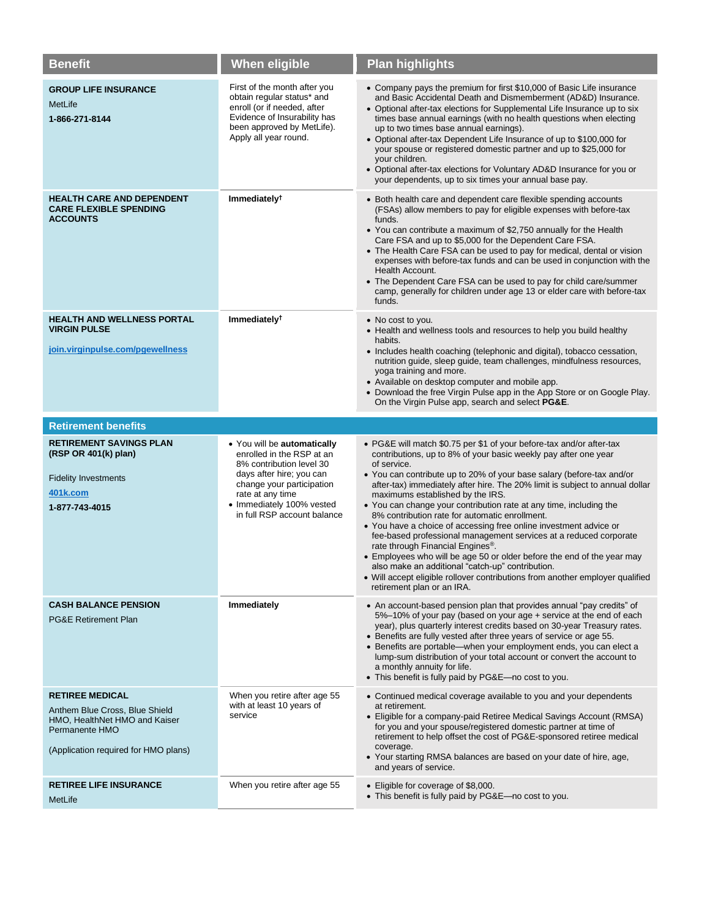| <b>Benefit</b>                                                                                                                                      | When eligible                                                                                                                                                                                                                 | <b>Plan highlights</b>                                                                                                                                                                                                                                                                                                                                                                                                                                                                                                                                                                                                                                                                                                                                                                                                                                                                                              |
|-----------------------------------------------------------------------------------------------------------------------------------------------------|-------------------------------------------------------------------------------------------------------------------------------------------------------------------------------------------------------------------------------|---------------------------------------------------------------------------------------------------------------------------------------------------------------------------------------------------------------------------------------------------------------------------------------------------------------------------------------------------------------------------------------------------------------------------------------------------------------------------------------------------------------------------------------------------------------------------------------------------------------------------------------------------------------------------------------------------------------------------------------------------------------------------------------------------------------------------------------------------------------------------------------------------------------------|
| <b>GROUP LIFE INSURANCE</b><br>MetLife<br>1-866-271-8144                                                                                            | First of the month after you<br>obtain regular status* and<br>enroll (or if needed, after<br>Evidence of Insurability has<br>been approved by MetLife).<br>Apply all year round.                                              | • Company pays the premium for first \$10,000 of Basic Life insurance<br>and Basic Accidental Death and Dismemberment (AD&D) Insurance.<br>• Optional after-tax elections for Supplemental Life Insurance up to six<br>times base annual earnings (with no health questions when electing<br>up to two times base annual earnings).<br>• Optional after-tax Dependent Life Insurance of up to \$100,000 for<br>your spouse or registered domestic partner and up to \$25,000 for<br>your children.<br>• Optional after-tax elections for Voluntary AD&D Insurance for you or<br>your dependents, up to six times your annual base pay.                                                                                                                                                                                                                                                                              |
| <b>HEALTH CARE AND DEPENDENT</b><br><b>CARE FLEXIBLE SPENDING</b><br><b>ACCOUNTS</b>                                                                | Immediately <sup>†</sup>                                                                                                                                                                                                      | • Both health care and dependent care flexible spending accounts<br>(FSAs) allow members to pay for eligible expenses with before-tax<br>funds.<br>• You can contribute a maximum of \$2,750 annually for the Health<br>Care FSA and up to \$5,000 for the Dependent Care FSA.<br>• The Health Care FSA can be used to pay for medical, dental or vision<br>expenses with before-tax funds and can be used in conjunction with the<br>Health Account.<br>• The Dependent Care FSA can be used to pay for child care/summer<br>camp, generally for children under age 13 or elder care with before-tax<br>funds.                                                                                                                                                                                                                                                                                                     |
| <b>HEALTH AND WELLNESS PORTAL</b><br><b>VIRGIN PULSE</b><br>join.virginpulse.com/pgewellness                                                        | Immediately <sup>†</sup>                                                                                                                                                                                                      | • No cost to you.<br>• Health and wellness tools and resources to help you build healthy<br>habits.<br>• Includes health coaching (telephonic and digital), tobacco cessation,<br>nutrition guide, sleep guide, team challenges, mindfulness resources,<br>yoga training and more.<br>• Available on desktop computer and mobile app.<br>• Download the free Virgin Pulse app in the App Store or on Google Play.<br>On the Virgin Pulse app, search and select <b>PG&amp;E</b> .                                                                                                                                                                                                                                                                                                                                                                                                                                   |
|                                                                                                                                                     |                                                                                                                                                                                                                               |                                                                                                                                                                                                                                                                                                                                                                                                                                                                                                                                                                                                                                                                                                                                                                                                                                                                                                                     |
| <b>Retirement benefits</b>                                                                                                                          |                                                                                                                                                                                                                               |                                                                                                                                                                                                                                                                                                                                                                                                                                                                                                                                                                                                                                                                                                                                                                                                                                                                                                                     |
| <b>RETIREMENT SAVINGS PLAN</b><br>(RSP OR 401(k) plan)<br><b>Fidelity Investments</b><br>401k.com<br>1-877-743-4015                                 | • You will be automatically<br>enrolled in the RSP at an<br>8% contribution level 30<br>days after hire; you can<br>change your participation<br>rate at any time<br>• Immediately 100% vested<br>in full RSP account balance | • PG&E will match \$0.75 per \$1 of your before-tax and/or after-tax<br>contributions, up to 8% of your basic weekly pay after one year<br>of service.<br>• You can contribute up to 20% of your base salary (before-tax and/or<br>after-tax) immediately after hire. The 20% limit is subject to annual dollar<br>maximums established by the IRS.<br>• You can change your contribution rate at any time, including the<br>8% contribution rate for automatic enrollment.<br>• You have a choice of accessing free online investment advice or<br>fee-based professional management services at a reduced corporate<br>rate through Financial Engines <sup>®</sup> .<br>• Employees who will be age 50 or older before the end of the year may<br>also make an additional "catch-up" contribution.<br>• Will accept eligible rollover contributions from another employer qualified<br>retirement plan or an IRA. |
| <b>CASH BALANCE PENSION</b><br><b>PG&amp;E Retirement Plan</b>                                                                                      | Immediately                                                                                                                                                                                                                   | • An account-based pension plan that provides annual "pay credits" of<br>5%-10% of your pay (based on your age + service at the end of each<br>year), plus quarterly interest credits based on 30-year Treasury rates.<br>• Benefits are fully vested after three years of service or age 55.<br>• Benefits are portable—when your employment ends, you can elect a<br>lump-sum distribution of your total account or convert the account to<br>a monthly annuity for life.<br>• This benefit is fully paid by PG&E-no cost to you.                                                                                                                                                                                                                                                                                                                                                                                 |
| <b>RETIREE MEDICAL</b><br>Anthem Blue Cross, Blue Shield<br>HMO, HealthNet HMO and Kaiser<br>Permanente HMO<br>(Application required for HMO plans) | When you retire after age 55<br>with at least 10 years of<br>service                                                                                                                                                          | • Continued medical coverage available to you and your dependents<br>at retirement.<br>• Eligible for a company-paid Retiree Medical Savings Account (RMSA)<br>for you and your spouse/registered domestic partner at time of<br>retirement to help offset the cost of PG&E-sponsored retiree medical<br>coverage.<br>• Your starting RMSA balances are based on your date of hire, age,<br>and years of service.                                                                                                                                                                                                                                                                                                                                                                                                                                                                                                   |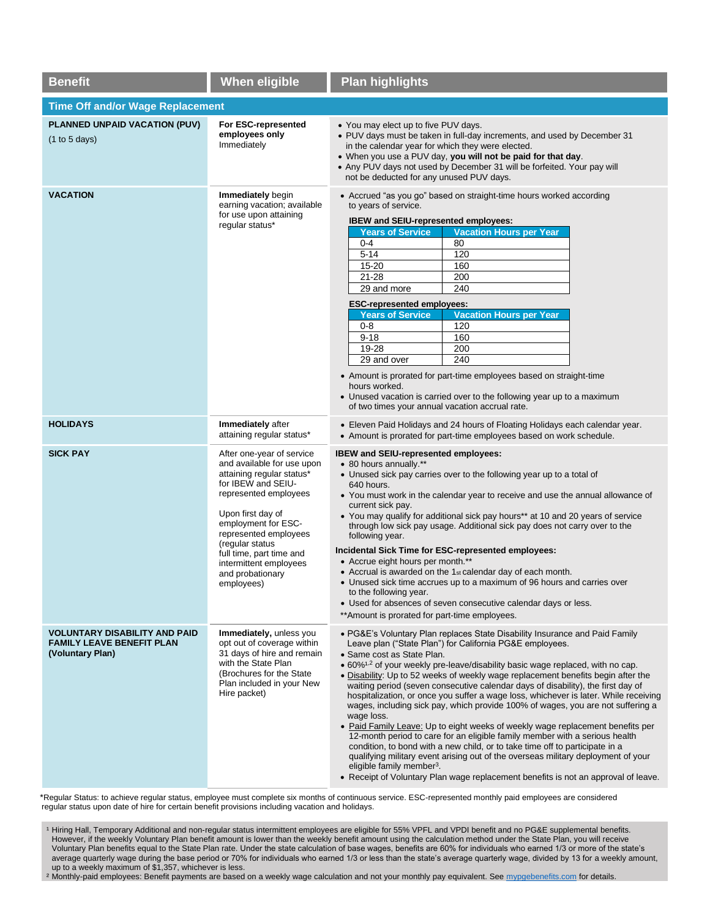| <b>Benefit</b>                                                                               | <b>When eligible</b>                                                                                                                                                                                                                                                                                                | <b>Plan highlights</b>                                                                                                                                                                                                                                                                                                                                                                                                                                                                                                                                                                                                                                                                                                                                                                                                                                                                                                                                                                                                                                                                                    |  |  |
|----------------------------------------------------------------------------------------------|---------------------------------------------------------------------------------------------------------------------------------------------------------------------------------------------------------------------------------------------------------------------------------------------------------------------|-----------------------------------------------------------------------------------------------------------------------------------------------------------------------------------------------------------------------------------------------------------------------------------------------------------------------------------------------------------------------------------------------------------------------------------------------------------------------------------------------------------------------------------------------------------------------------------------------------------------------------------------------------------------------------------------------------------------------------------------------------------------------------------------------------------------------------------------------------------------------------------------------------------------------------------------------------------------------------------------------------------------------------------------------------------------------------------------------------------|--|--|
| <b>Time Off and/or Wage Replacement</b>                                                      |                                                                                                                                                                                                                                                                                                                     |                                                                                                                                                                                                                                                                                                                                                                                                                                                                                                                                                                                                                                                                                                                                                                                                                                                                                                                                                                                                                                                                                                           |  |  |
| PLANNED UNPAID VACATION (PUV)<br>(1 to 5 days)                                               | For ESC-represented<br>employees only<br>Immediately                                                                                                                                                                                                                                                                | • You may elect up to five PUV days.<br>• PUV days must be taken in full-day increments, and used by December 31<br>in the calendar year for which they were elected.<br>. When you use a PUV day, you will not be paid for that day.<br>• Any PUV days not used by December 31 will be forfeited. Your pay will<br>not be deducted for any unused PUV days.                                                                                                                                                                                                                                                                                                                                                                                                                                                                                                                                                                                                                                                                                                                                              |  |  |
| <b>VACATION</b>                                                                              | Immediately begin<br>earning vacation; available<br>for use upon attaining<br>regular status*                                                                                                                                                                                                                       | • Accrued "as you go" based on straight-time hours worked according<br>to years of service.<br>IBEW and SEIU-represented employees:<br><b>Years of Service</b><br><b>Vacation Hours per Year</b><br>$0-4$<br>80<br>$5 - 14$<br>120<br>15-20<br>160<br>$21 - 28$<br>200<br>240<br>29 and more<br><b>ESC-represented employees:</b><br><b>Years of Service</b><br><b>Vacation Hours per Year</b><br>$0 - 8$<br>120<br>$9 - 18$<br>160<br>19-28<br>200<br>240<br>29 and over<br>• Amount is prorated for part-time employees based on straight-time<br>hours worked.<br>• Unused vacation is carried over to the following year up to a maximum<br>of two times your annual vacation accrual rate.                                                                                                                                                                                                                                                                                                                                                                                                           |  |  |
| <b>HOLIDAYS</b>                                                                              | Immediately after<br>attaining regular status*                                                                                                                                                                                                                                                                      | • Eleven Paid Holidays and 24 hours of Floating Holidays each calendar year.<br>• Amount is prorated for part-time employees based on work schedule.                                                                                                                                                                                                                                                                                                                                                                                                                                                                                                                                                                                                                                                                                                                                                                                                                                                                                                                                                      |  |  |
| <b>SICK PAY</b>                                                                              | After one-year of service<br>and available for use upon<br>attaining regular status*<br>for IBEW and SEIU-<br>represented employees<br>Upon first day of<br>employment for ESC-<br>represented employees<br>(regular status<br>full time, part time and<br>intermittent employees<br>and probationary<br>employees) | IBEW and SEIU-represented employees:<br>• 80 hours annually.**<br>• Unused sick pay carries over to the following year up to a total of<br>640 hours.<br>• You must work in the calendar year to receive and use the annual allowance of<br>current sick pay.<br>• You may qualify for additional sick pay hours** at 10 and 20 years of service<br>through low sick pay usage. Additional sick pay does not carry over to the<br>following year.<br>Incidental Sick Time for ESC-represented employees:<br>• Accrue eight hours per month.**<br>• Accrual is awarded on the 1st calendar day of each month.<br>• Unused sick time accrues up to a maximum of 96 hours and carries over<br>to the following year.<br>• Used for absences of seven consecutive calendar days or less.<br>** Amount is prorated for part-time employees.                                                                                                                                                                                                                                                                    |  |  |
| <b>VOLUNTARY DISABILITY AND PAID</b><br><b>FAMILY LEAVE BENEFIT PLAN</b><br>(Voluntary Plan) | Immediately, unless you<br>opt out of coverage within<br>31 days of hire and remain<br>with the State Plan<br>(Brochures for the State)<br>Plan included in your New<br>Hire packet)                                                                                                                                | • PG&E's Voluntary Plan replaces State Disability Insurance and Paid Family<br>Leave plan ("State Plan") for California PG&E employees.<br>• Same cost as State Plan.<br>· 60% <sup>1,2</sup> of your weekly pre-leave/disability basic wage replaced, with no cap.<br>• Disability: Up to 52 weeks of weekly wage replacement benefits begin after the<br>waiting period (seven consecutive calendar days of disability), the first day of<br>hospitalization, or once you suffer a wage loss, whichever is later. While receiving<br>wages, including sick pay, which provide 100% of wages, you are not suffering a<br>wage loss.<br>• Paid Family Leave: Up to eight weeks of weekly wage replacement benefits per<br>12-month period to care for an eligible family member with a serious health<br>condition, to bond with a new child, or to take time off to participate in a<br>qualifying military event arising out of the overseas military deployment of your<br>eligible family member <sup>3</sup> .<br>• Receipt of Voluntary Plan wage replacement benefits is not an approval of leave. |  |  |

\*Regular Status: to achieve regular status, employee must complete six months of continuous service. ESC-represented monthly paid employees are considered regular status upon date of hire for certain benefit provisions including vacation and holidays.

<sup>1</sup> Hiring Hall, Temporary Additional and non-regular status intermittent employees are eligible for 55% VPFL and VPDI benefit and no PG&E supplemental benefits. However, if the weekly Voluntary Plan benefit amount is lower than the weekly benefit amount using the calculation method under the State Plan, you will receive Voluntary Plan benefits equal to the State Plan rate. Under the state calculation of base wages, benefits are 60% for individuals who earned 1/3 or more of the state's average quarterly wage during the base period or 70% for individuals who earned 1/3 or less than the state's average quarterly wage, divided by 13 for a weekly amount, up to a weekly maximum of \$1,357, whichever is less.

<sup>2</sup> Monthly-paid employees: Benefit payments are based on a weekly wage calculation and not your monthly pay equivalent. See [mypgebenefits.com](http://mypgebenefits.com/) for details.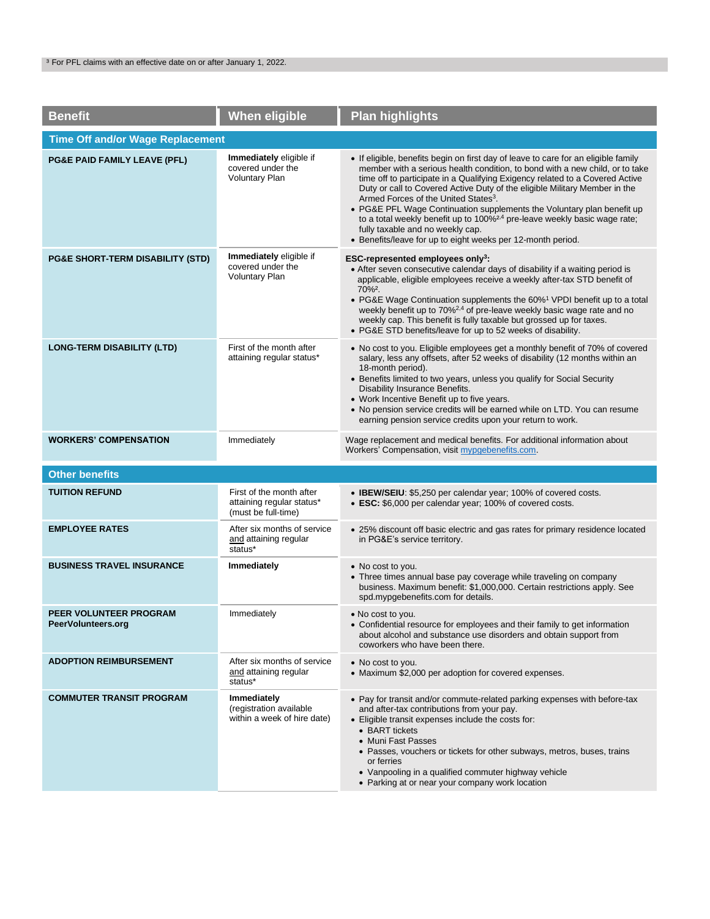| <b>Benefit</b>                               | <b>When eligible</b>                                                         | <b>Plan highlights</b>                                                                                                                                                                                                                                                                                                                                                                                                                                                                                                                                                                                                                                     |  |  |
|----------------------------------------------|------------------------------------------------------------------------------|------------------------------------------------------------------------------------------------------------------------------------------------------------------------------------------------------------------------------------------------------------------------------------------------------------------------------------------------------------------------------------------------------------------------------------------------------------------------------------------------------------------------------------------------------------------------------------------------------------------------------------------------------------|--|--|
| <b>Time Off and/or Wage Replacement</b>      |                                                                              |                                                                                                                                                                                                                                                                                                                                                                                                                                                                                                                                                                                                                                                            |  |  |
| PG&E PAID FAMILY LEAVE (PFL)                 | Immediately eligible if<br>covered under the<br><b>Voluntary Plan</b>        | • If eligible, benefits begin on first day of leave to care for an eligible family<br>member with a serious health condition, to bond with a new child, or to take<br>time off to participate in a Qualifying Exigency related to a Covered Active<br>Duty or call to Covered Active Duty of the eligible Military Member in the<br>Armed Forces of the United States <sup>3</sup> .<br>• PG&E PFL Wage Continuation supplements the Voluntary plan benefit up<br>to a total weekly benefit up to 100% <sup>2,4</sup> pre-leave weekly basic wage rate;<br>fully taxable and no weekly cap.<br>• Benefits/leave for up to eight weeks per 12-month period. |  |  |
| PG&E SHORT-TERM DISABILITY (STD)             | Immediately eligible if<br>covered under the<br><b>Voluntary Plan</b>        | ESC-represented employees only <sup>3</sup> :<br>• After seven consecutive calendar days of disability if a waiting period is<br>applicable, eligible employees receive a weekly after-tax STD benefit of<br>70% <sup>2</sup> .<br>• PG&E Wage Continuation supplements the $60\%$ <sup>1</sup> VPDI benefit up to a total<br>weekly benefit up to 70% <sup>2,4</sup> of pre-leave weekly basic wage rate and no<br>weekly cap. This benefit is fully taxable but grossed up for taxes.<br>• PG&E STD benefits/leave for up to 52 weeks of disability.                                                                                                     |  |  |
| <b>LONG-TERM DISABILITY (LTD)</b>            | First of the month after<br>attaining regular status*                        | • No cost to you. Eligible employees get a monthly benefit of 70% of covered<br>salary, less any offsets, after 52 weeks of disability (12 months within an<br>18-month period).<br>• Benefits limited to two years, unless you qualify for Social Security<br>Disability Insurance Benefits.<br>• Work Incentive Benefit up to five years.<br>. No pension service credits will be earned while on LTD. You can resume<br>earning pension service credits upon your return to work.                                                                                                                                                                       |  |  |
| <b>WORKERS' COMPENSATION</b>                 | Immediately                                                                  | Wage replacement and medical benefits. For additional information about<br>Workers' Compensation, visit mypgebenefits.com.                                                                                                                                                                                                                                                                                                                                                                                                                                                                                                                                 |  |  |
| <b>Other benefits</b>                        |                                                                              |                                                                                                                                                                                                                                                                                                                                                                                                                                                                                                                                                                                                                                                            |  |  |
| <b>TUITION REFUND</b>                        | First of the month after<br>attaining regular status*<br>(must be full-time) | • IBEW/SEIU: \$5,250 per calendar year; 100% of covered costs.<br>• ESC: \$6,000 per calendar year; 100% of covered costs.                                                                                                                                                                                                                                                                                                                                                                                                                                                                                                                                 |  |  |
| <b>EMPLOYEE RATES</b>                        | After six months of service<br>and attaining regular<br>status*              | • 25% discount off basic electric and gas rates for primary residence located<br>in PG&E's service territory.                                                                                                                                                                                                                                                                                                                                                                                                                                                                                                                                              |  |  |
| <b>BUSINESS TRAVEL INSURANCE</b>             | Immediately                                                                  | • No cost to you.<br>• Three times annual base pay coverage while traveling on company<br>business. Maximum benefit: \$1,000,000. Certain restrictions apply. See<br>spd.mypgebenefits.com for details.                                                                                                                                                                                                                                                                                                                                                                                                                                                    |  |  |
| PEER VOLUNTEER PROGRAM<br>PeerVolunteers.org | Immediately                                                                  | • No cost to you.<br>Confidential resource for employees and their family to get information<br>about alcohol and substance use disorders and obtain support from<br>coworkers who have been there.                                                                                                                                                                                                                                                                                                                                                                                                                                                        |  |  |
| <b>ADOPTION REIMBURSEMENT</b>                | After six months of service<br>and attaining regular<br>status*              | • No cost to you.<br>• Maximum \$2,000 per adoption for covered expenses.                                                                                                                                                                                                                                                                                                                                                                                                                                                                                                                                                                                  |  |  |
| <b>COMMUTER TRANSIT PROGRAM</b>              | Immediately<br>(registration available<br>within a week of hire date)        | • Pay for transit and/or commute-related parking expenses with before-tax<br>and after-tax contributions from your pay.<br>• Eligible transit expenses include the costs for:<br>• BART tickets<br>• Muni Fast Passes<br>• Passes, vouchers or tickets for other subways, metros, buses, trains<br>or ferries<br>• Vanpooling in a qualified commuter highway vehicle<br>• Parking at or near your company work location                                                                                                                                                                                                                                   |  |  |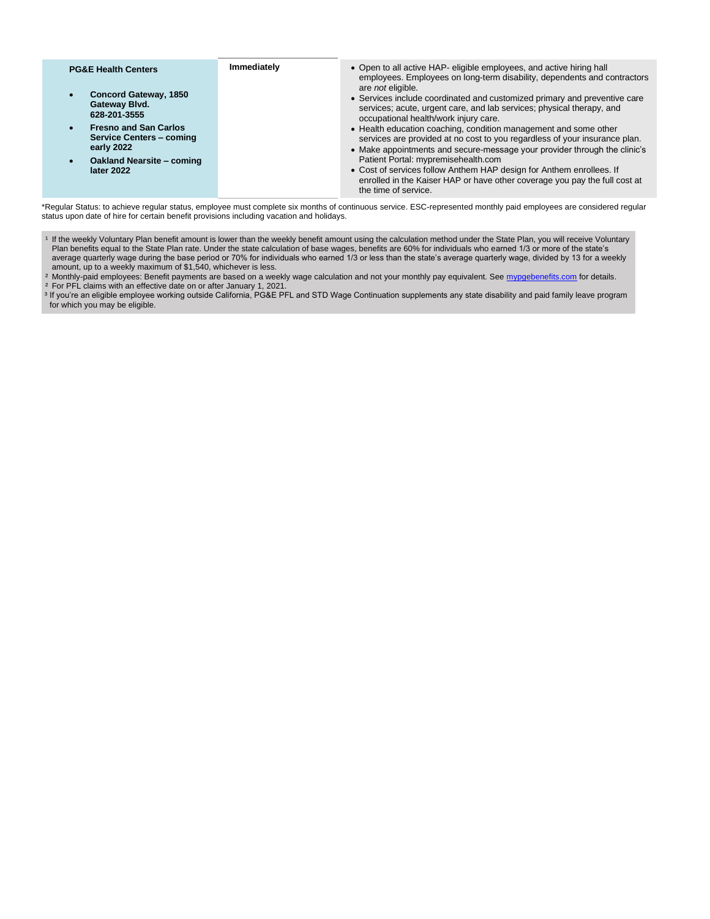| <b>PG&amp;E Health Centers</b>                                                             | Immediately | • Open to all active HAP- eligible employees, and active hiring hall<br>employees. Employees on long-term disability, dependents and contractors                                                                            |
|--------------------------------------------------------------------------------------------|-------------|-----------------------------------------------------------------------------------------------------------------------------------------------------------------------------------------------------------------------------|
| <b>Concord Gateway, 1850</b><br>Gateway Blvd.<br>628-201-3555                              |             | are <i>not</i> eligible.<br>• Services include coordinated and customized primary and preventive care<br>services; acute, urgent care, and lab services; physical therapy, and<br>occupational health/work injury care.     |
| <b>Fresno and San Carlos</b><br>$\bullet$<br><b>Service Centers - coming</b><br>early 2022 |             | • Health education coaching, condition management and some other<br>services are provided at no cost to you regardless of your insurance plan.<br>• Make appointments and secure-message your provider through the clinic's |
| <b>Oakland Nearsite - coming</b><br>later 2022                                             |             | Patient Portal: mypremisehealth.com<br>• Cost of services follow Anthem HAP design for Anthem enrollees. If<br>enrolled in the Kaiser HAP or have other coverage you pay the full cost at<br>the time of service.           |

\*Regular Status: to achieve regular status, employee must complete six months of continuous service. ESC-represented monthly paid employees are considered regular status upon date of hire for certain benefit provisions including vacation and holidays.

<sup>1</sup> If the weekly Voluntary Plan benefit amount is lower than the weekly benefit amount using the calculation method under the State Plan, you will receive Voluntary Plan benefits equal to the State Plan rate. Under the state calculation of base wages, benefits are 60% for individuals who earned 1/3 or more of the state's average quarterly wage during the base period or 70% for individuals who earned 1/3 or less than the state's average quarterly wage, divided by 13 for a weekly amount, up to a weekly maximum of \$1,540, whichever is less.

<sup>2</sup> Monthly-paid employees: Benefit payments are based on a weekly wage calculation and not your monthly pay equivalent. See [mypgebenefits.com](http://mypgebenefits.com/) for details. ² For PFL claims with an effective date on or after January 1, 2021.

<sup>3</sup> If you're an eligible employee working outside California, PG&E PFL and STD Wage Continuation supplements any state disability and paid family leave program for which you may be eligible.